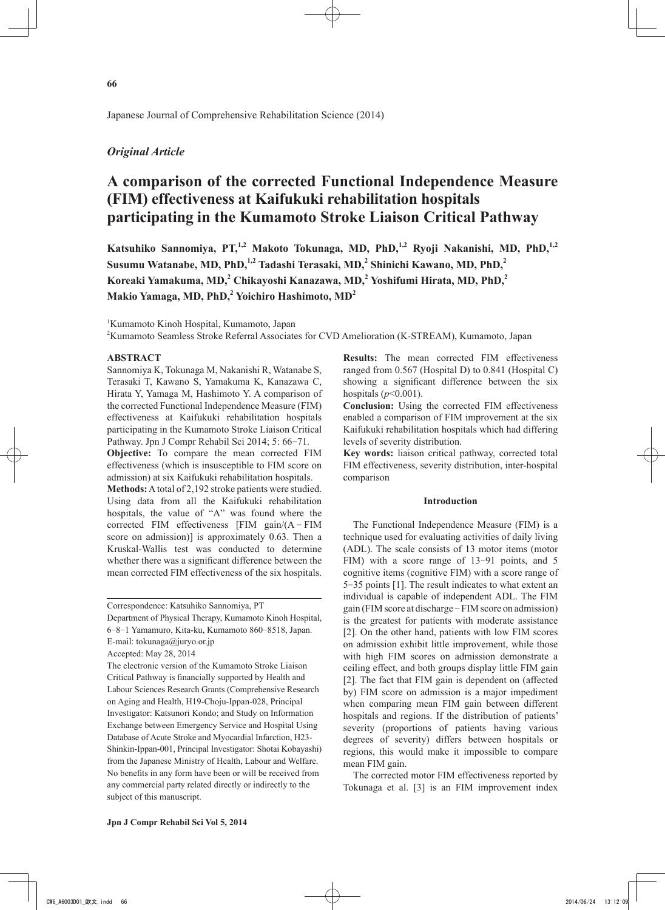Japanese Journal of Comprehensive Rehabilitation Science (2014)

# *Original Article*

# **A comparison of the corrected Functional Independence Measure (FIM) effectiveness at Kaifukuki rehabilitation hospitals participating in the Kumamoto Stroke Liaison Critical Pathway**

Katsuhiko Sannomiya, PT,<sup>1,2</sup> Makoto Tokunaga, MD, PhD,<sup>1,2</sup> Ryoji Nakanishi, MD, PhD,<sup>1,2</sup> **Susumu Watanabe, MD, PhD,1,2 Tadashi Terasaki, MD,2 Shinichi Kawano, MD, PhD,<sup>2</sup> Koreaki Yamakuma, MD,2 Chikayoshi Kanazawa, MD,<sup>2</sup> Yoshifumi Hirata, MD, PhD,2 Makio Yamaga, MD, PhD,<sup>2</sup> Yoichiro Hashimoto, MD2**

1 Kumamoto Kinoh Hospital, Kumamoto, Japan

2 Kumamoto Seamless Stroke Referral Associates for CVD Amelioration (K-STREAM), Kumamoto, Japan

# **ABSTRACT**

Sannomiya K, Tokunaga M, Nakanishi R, Watanabe S, Terasaki T, Kawano S, Yamakuma K, Kanazawa C, Hirata Y, Yamaga M, Hashimoto Y. A comparison of the corrected Functional Independence Measure (FIM) effectiveness at Kaifukuki rehabilitation hospitals participating in the Kumamoto Stroke Liaison Critical Pathway. Jpn J Compr Rehabil Sci 2014; 5: 66-71.

**Objective:** To compare the mean corrected FIM effectiveness (which is insusceptible to FIM score on admission) at six Kaifukuki rehabilitation hospitals.

**Methods:** A total of 2,192 stroke patients were studied. Using data from all the Kaifukuki rehabilitation hospitals, the value of "A" was found where the corrected FIM effectiveness [FIM gain/(A - FIM score on admission)] is approximately 0.63. Then a Kruskal-Wallis test was conducted to determine whether there was a significant difference between the mean corrected FIM effectiveness of the six hospitals.

Department of Physical Therapy, Kumamoto Kinoh Hospital, 6-8-1 Yamamuro, Kita-ku, Kumamoto 860-8518, Japan. E-mail: tokunaga@juryo.or.jp

**Results:** The mean corrected FIM effectiveness ranged from 0.567 (Hospital D) to 0.841 (Hospital C) showing a significant difference between the six hospitals (*p*<0.001).

**Conclusion:** Using the corrected FIM effectiveness enabled a comparison of FIM improvement at the six Kaifukuki rehabilitation hospitals which had differing levels of severity distribution.

**Key words:** liaison critical pathway, corrected total FIM effectiveness, severity distribution, inter-hospital comparison

#### **Introduction**

The Functional Independence Measure (FIM) is a technique used for evaluating activities of daily living (ADL). The scale consists of 13 motor items (motor FIM) with a score range of 13-91 points, and 5 cognitive items (cognitive FIM) with a score range of 5-35 points [1]. The result indicates to what extent an individual is capable of independent ADL. The FIM gain (FIM score at discharge - FIM score on admission) is the greatest for patients with moderate assistance [2]. On the other hand, patients with low FIM scores on admission exhibit little improvement, while those with high FIM scores on admission demonstrate a ceiling effect, and both groups display little FIM gain [2]. The fact that FIM gain is dependent on (affected by) FIM score on admission is a major impediment when comparing mean FIM gain between different hospitals and regions. If the distribution of patients' severity (proportions of patients having various degrees of severity) differs between hospitals or regions, this would make it impossible to compare mean FIM gain.

The corrected motor FIM effectiveness reported by Tokunaga et al. [3] is an FIM improvement index

Correspondence: Katsuhiko Sannomiya, PT

Accepted: May 28, 2014

The electronic version of the Kumamoto Stroke Liaison Critical Pathway is financially supported by Health and Labour Sciences Research Grants (Comprehensive Research on Aging and Health, H19-Choju-Ippan-028, Principal Investigator: Katsunori Kondo; and Study on Information Exchange between Emergency Service and Hospital Using Database of Acute Stroke and Myocardial Infarction, H23- Shinkin-Ippan-001, Principal Investigator: Shotai Kobayashi) from the Japanese Ministry of Health, Labour and Welfare. No benefits in any form have been or will be received from any commercial party related directly or indirectly to the subject of this manuscript.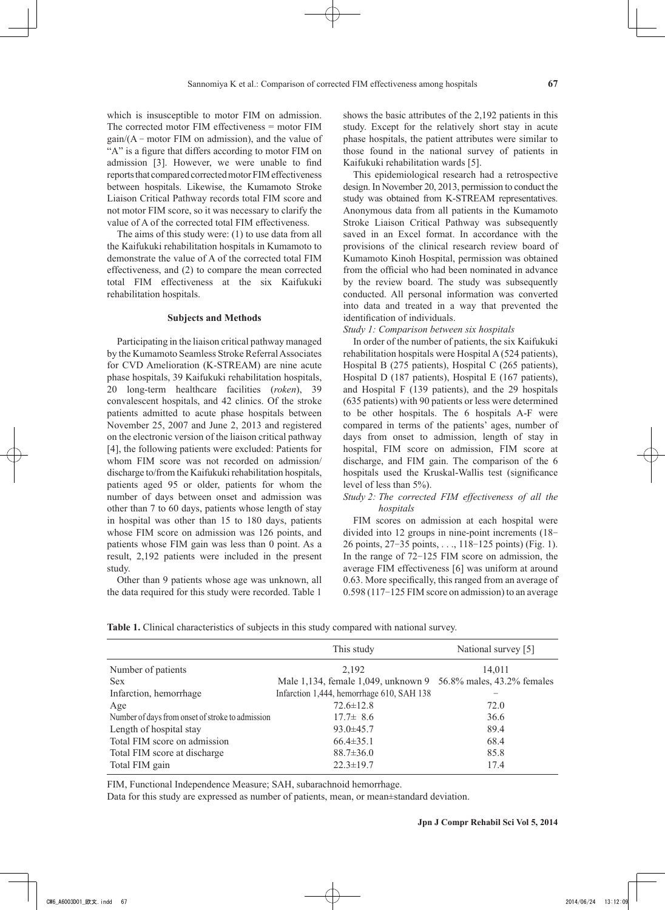which is insusceptible to motor FIM on admission. The corrected motor FIM effectiveness = motor FIM  $gain/(A - motor FIM on admission)$ , and the value of "A" is a figure that differs according to motor FIM on admission [3]. However, we were unable to find reports that compared corrected motor FIM effectiveness between hospitals. Likewise, the Kumamoto Stroke Liaison Critical Pathway records total FIM score and not motor FIM score, so it was necessary to clarify the value of A of the corrected total FIM effectiveness.

The aims of this study were: (1) to use data from all the Kaifukuki rehabilitation hospitals in Kumamoto to demonstrate the value of A of the corrected total FIM effectiveness, and (2) to compare the mean corrected total FIM effectiveness at the six Kaifukuki rehabilitation hospitals.

#### **Subjects and Methods**

Participating in the liaison critical pathway managed by the Kumamoto Seamless Stroke Referral Associates for CVD Amelioration (K-STREAM) are nine acute phase hospitals, 39 Kaifukuki rehabilitation hospitals, 20 long-term healthcare facilities (*roken*), 39 convalescent hospitals, and 42 clinics. Of the stroke patients admitted to acute phase hospitals between November 25, 2007 and June 2, 2013 and registered on the electronic version of the liaison critical pathway [4], the following patients were excluded: Patients for whom FIM score was not recorded on admission/ discharge to/from the Kaifukuki rehabilitation hospitals, patients aged 95 or older, patients for whom the number of days between onset and admission was other than 7 to 60 days, patients whose length of stay in hospital was other than 15 to 180 days, patients whose FIM score on admission was 126 points, and patients whose FIM gain was less than 0 point. As a result, 2,192 patients were included in the present study.

Other than 9 patients whose age was unknown, all the data required for this study were recorded. Table 1

shows the basic attributes of the 2,192 patients in this study. Except for the relatively short stay in acute phase hospitals, the patient attributes were similar to those found in the national survey of patients in Kaifukuki rehabilitation wards [5].

This epidemiological research had a retrospective design. In November 20, 2013, permission to conduct the study was obtained from K-STREAM representatives. Anonymous data from all patients in the Kumamoto Stroke Liaison Critical Pathway was subsequently saved in an Excel format. In accordance with the provisions of the clinical research review board of Kumamoto Kinoh Hospital, permission was obtained from the official who had been nominated in advance by the review board. The study was subsequently conducted. All personal information was converted into data and treated in a way that prevented the identification of individuals.

*Study 1: Comparison between six hospitals*

In order of the number of patients, the six Kaifukuki rehabilitation hospitals were Hospital A (524 patients), Hospital B (275 patients), Hospital C (265 patients), Hospital D (187 patients), Hospital E (167 patients), and Hospital F (139 patients), and the 29 hospitals (635 patients) with 90 patients or less were determined to be other hospitals. The 6 hospitals A-F were compared in terms of the patients' ages, number of days from onset to admission, length of stay in hospital, FIM score on admission, FIM score at discharge, and FIM gain. The comparison of the 6 hospitals used the Kruskal-Wallis test (significance level of less than 5%).

# *Study 2: The corrected FIM effectiveness of all the hospitals*

FIM scores on admission at each hospital were divided into 12 groups in nine-point increments (18- 26 points, 27-35 points, . . ., 118-125 points) (Fig. 1). In the range of 72-125 FIM score on admission, the average FIM effectiveness [6] was uniform at around 0.63. More specifically, this ranged from an average of 0.598 (117-125 FIM score on admission) to an average

**Table 1.** Clinical characteristics of subjects in this study compared with national survey.

|                                                  | This study                                                     | National survey [5] |  |  |
|--------------------------------------------------|----------------------------------------------------------------|---------------------|--|--|
| Number of patients                               | 2,192                                                          | 14,011              |  |  |
| <b>Sex</b>                                       | Male 1,134, female 1,049, unknown 9 56.8% males, 43.2% females |                     |  |  |
| Infarction, hemorrhage                           | Infarction 1,444, hemorrhage 610, SAH 138                      |                     |  |  |
| Age                                              | $72.6 \pm 12.8$                                                | 72.0                |  |  |
| Number of days from onset of stroke to admission | $17.7 \pm 8.6$                                                 | 36.6                |  |  |
| Length of hospital stay                          | $93.0 \pm 45.7$                                                | 89.4                |  |  |
| Total FIM score on admission                     | $66.4 \pm 35.1$                                                | 68.4                |  |  |
| Total FIM score at discharge                     | $88.7 \pm 36.0$                                                | 85.8                |  |  |
| Total FIM gain                                   | $22.3 \pm 19.7$                                                | 17.4                |  |  |

FIM, Functional Independence Measure; SAH, subarachnoid hemorrhage.

Data for this study are expressed as number of patients, mean, or mean±standard deviation.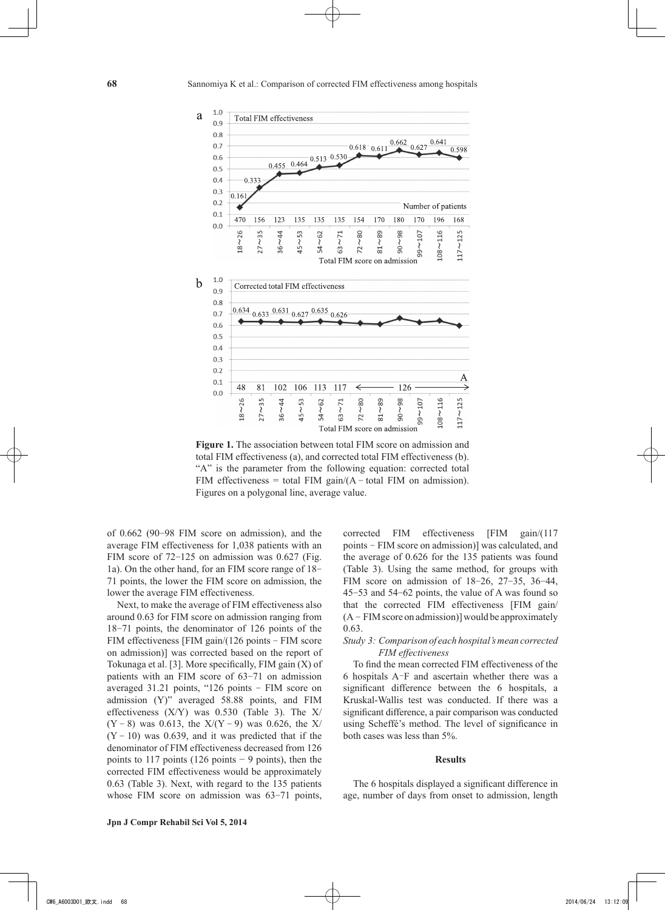

**Figure 1.** The association between total FIM score on admission and total FIM effectiveness (a), and corrected total FIM effectiveness (b). "A" is the parameter from the following equation: corrected total FIM effectiveness = total FIM gain/ $(A - total$  FIM on admission). Figures on a polygonal line, average value.

of 0.662 (90-98 FIM score on admission), and the average FIM effectiveness for 1,038 patients with an FIM score of 72-125 on admission was 0.627 (Fig. 1a). On the other hand, for an FIM score range of 18- 71 points, the lower the FIM score on admission, the lower the average FIM effectiveness.

Next, to make the average of FIM effectiveness also around 0.63 for FIM score on admission ranging from 18-71 points, the denominator of 126 points of the FIM effectiveness [FIM gain/(126 points - FIM score on admission)] was corrected based on the report of Tokunaga et al. [3]. More specifically, FIM gain (X) of patients with an FIM score of 63-71 on admission averaged 31.21 points, "126 points - FIM score on admission (Y)" averaged 58.88 points, and FIM effectiveness (X/Y) was 0.530 (Table 3). The X/  $(Y - 8)$  was 0.613, the  $X/(Y - 9)$  was 0.626, the X/  $(Y - 10)$  was 0.639, and it was predicted that if the denominator of FIM effectiveness decreased from 126 points to 117 points (126 points  $-9$  points), then the corrected FIM effectiveness would be approximately 0.63 (Table 3). Next, with regard to the 135 patients whose FIM score on admission was 63-71 points,

corrected FIM effectiveness [FIM gain/(117 points - FIM score on admission)] was calculated, and the average of 0.626 for the 135 patients was found (Table 3). Using the same method, for groups with FIM score on admission of 18-26, 27-35, 36-44, 45-53 and 54-62 points, the value of A was found so that the corrected FIM effectiveness [FIM gain/  $(A - FIM score on admission)$ ] would be approximately 0.63.

# *Study 3: Comparison of each hospital's mean corrected FIM effectiveness*

To find the mean corrected FIM effectiveness of the 6 hospitals A-F and ascertain whether there was a significant difference between the 6 hospitals, a Kruskal-Wallis test was conducted. If there was a significant difference, a pair comparison was conducted using Scheffé's method. The level of significance in both cases was less than 5%.

#### **Results**

The 6 hospitals displayed a significant difference in age, number of days from onset to admission, length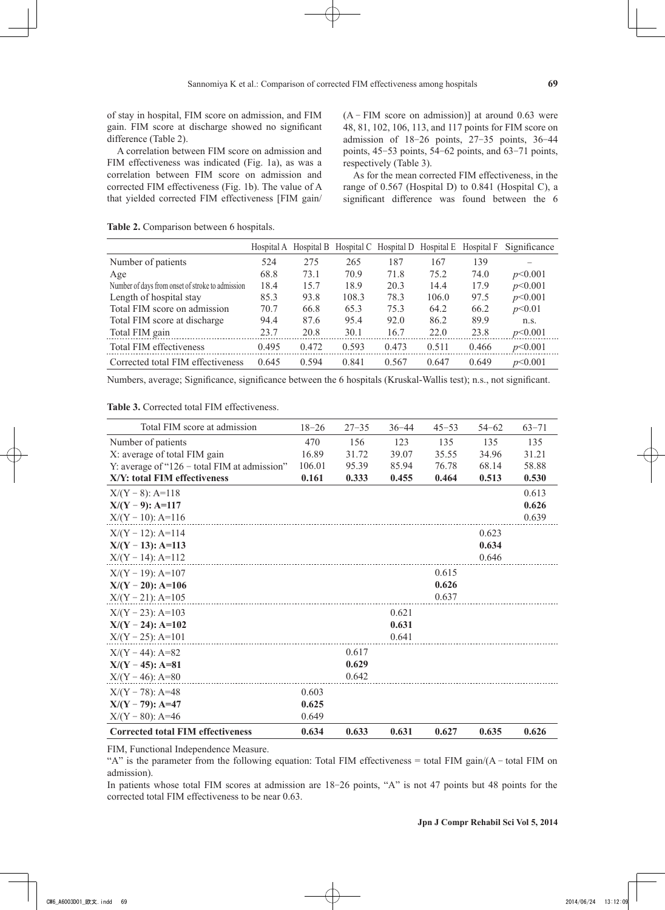of stay in hospital, FIM score on admission, and FIM gain. FIM score at discharge showed no significant difference (Table 2).

A correlation between FIM score on admission and FIM effectiveness was indicated (Fig. 1a), as was a correlation between FIM score on admission and corrected FIM effectiveness (Fig. 1b). The value of A that yielded corrected FIM effectiveness [FIM gain/

 $(A - FIM score on admission)$ ] at around 0.63 were 48, 81, 102, 106, 113, and 117 points for FIM score on admission of 18-26 points, 27-35 points, 36-44 points, 45-53 points, 54-62 points, and 63-71 points, respectively (Table 3).

As for the mean corrected FIM effectiveness, in the range of 0.567 (Hospital D) to 0.841 (Hospital C), a significant difference was found between the 6

**Table 2.** Comparison between 6 hospitals.

|                                                  | Hospital A | Hospital B |       | Hospital C Hospital D Hospital E |       | Hospital F | Significance |
|--------------------------------------------------|------------|------------|-------|----------------------------------|-------|------------|--------------|
| Number of patients                               | 524        | 275        | 265   | 187                              | 167   | 139        |              |
| Age                                              | 68.8       | 73.1       | 70.9  | 71.8                             | 75.2  | 74.0       | p<0.001      |
| Number of days from onset of stroke to admission | 18.4       | 15.7       | 18.9  | 20.3                             | 14.4  | 17.9       | p<0.001      |
| Length of hospital stay                          | 85.3       | 93.8       | 108.3 | 78.3                             | 106.0 | 97.5       | p<0.001      |
| Total FIM score on admission                     | 70.7       | 66.8       | 65.3  | 75.3                             | 64.2  | 66.2       | p<0.01       |
| Total FIM score at discharge                     | 94.4       | 87.6       | 95.4  | 92.0                             | 86.2  | 89.9       | n.s.         |
| Total FIM gain                                   | 23.7       | 20.8       | 30.1  | 16.7                             | 22.0  | 23.8       | p<0.001      |
| Total FIM effectiveness                          | 0.495      | 0.472      | 0.593 | 0.473                            | 0.511 | 0.466      | p<0.001      |
| Corrected total FIM effectiveness                | 0.645      | 0.594      | 0.841 | 0.567                            | 0.647 | 0.649      | p<0.001      |

Numbers, average; Significance, significance between the 6 hospitals (Kruskal-Wallis test); n.s., not significant.

### **Table 3.** Corrected total FIM effectiveness.

| Total FIM score at admission                    | $18 - 26$ | $27 - 35$ | $36 - 44$ | $45 - 53$ | $54 - 62$ | $63 - 71$ |
|-------------------------------------------------|-----------|-----------|-----------|-----------|-----------|-----------|
| Number of patients                              | 470       | 156       | 123       | 135       | 135       | 135       |
| X: average of total FIM gain                    | 16.89     | 31.72     | 39.07     | 35.55     | 34.96     | 31.21     |
| Y: average of " $126 -$ total FIM at admission" | 106.01    | 95.39     | 85.94     | 76.78     | 68.14     | 58.88     |
| X/Y: total FIM effectiveness                    | 0.161     | 0.333     | 0.455     | 0.464     | 0.513     | 0.530     |
| $X/(Y – 8)$ : A=118                             |           |           |           |           |           | 0.613     |
| $X/(Y-9)$ : A=117                               |           |           |           |           |           | 0.626     |
| $X/(Y - 10)$ : A=116                            |           |           |           |           |           | 0.639     |
| $X/(Y - 12)$ : A=114                            |           |           |           |           | 0.623     |           |
| $X/(Y - 13)$ : A=113                            |           |           |           |           | 0.634     |           |
| $X/(Y - 14)$ : A=112                            |           |           |           |           | 0.646     |           |
| $X/(Y - 19)$ : A=107                            |           |           |           | 0.615     |           |           |
| $X/(Y - 20)$ : A=106                            |           |           |           | 0.626     |           |           |
| $X/(Y - 21)$ : A=105                            |           |           |           | 0.637     |           |           |
| $X/(Y - 23)$ : A=103                            |           |           | 0.621     |           |           |           |
| $X/(Y - 24)$ : A=102                            |           |           | 0.631     |           |           |           |
| $X/(Y - 25)$ : A=101                            |           |           | 0.641     |           |           |           |
| $X/(Y - 44)$ : A=82                             |           | 0.617     |           |           |           |           |
| $X/(Y - 45)$ : A=81                             |           | 0.629     |           |           |           |           |
| $X/(Y - 46)$ : A=80                             |           | 0.642     |           |           |           |           |
| $X/(Y - 78)$ : A=48                             | 0.603     |           |           |           |           |           |
| $X/(Y - 79)$ : A=47                             | 0.625     |           |           |           |           |           |
| $X/(Y - 80)$ : A=46                             | 0.649     |           |           |           |           |           |
| <b>Corrected total FIM effectiveness</b>        | 0.634     | 0.633     | 0.631     | 0.627     | 0.635     | 0.626     |

FIM, Functional Independence Measure.

"A" is the parameter from the following equation: Total FIM effectiveness = total FIM gain/(A - total FIM on admission).

In patients whose total FIM scores at admission are 18-26 points, "A" is not 47 points but 48 points for the corrected total FIM effectiveness to be near 0.63.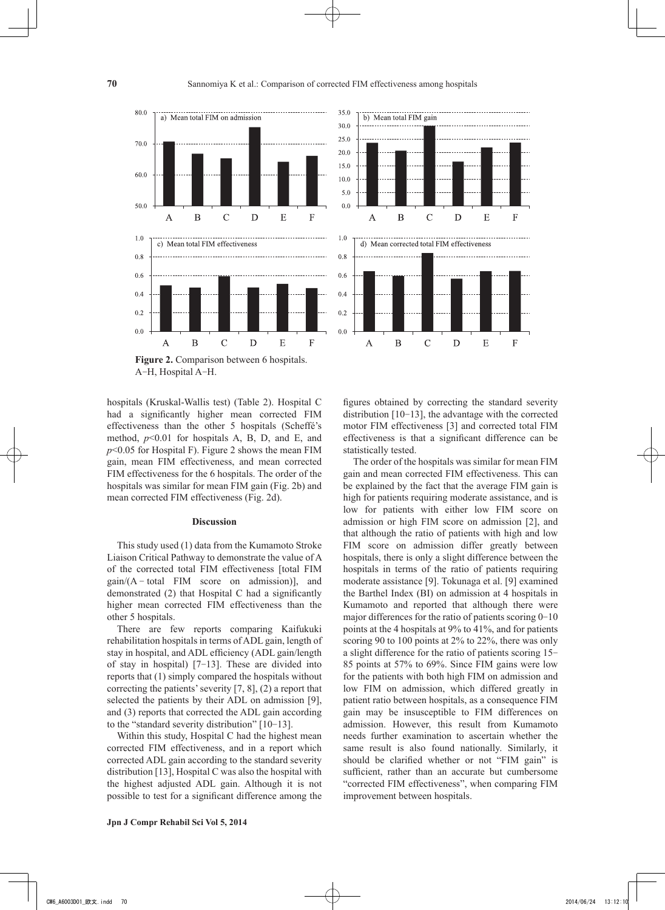$35.0$ 





**Figure 2.** Comparison between 6 hospitals. A-H, Hospital A-H.

hospitals (Kruskal-Wallis test) (Table 2). Hospital C had a significantly higher mean corrected FIM effectiveness than the other 5 hospitals (Scheffé's method,  $p<0.01$  for hospitals A, B, D, and E, and  $p$ <0.05 for Hospital F). Figure 2 shows the mean FIM gain, mean FIM effectiveness, and mean corrected FIM effectiveness for the 6 hospitals. The order of the hospitals was similar for mean FIM gain (Fig. 2b) and mean corrected FIM effectiveness (Fig. 2d).

#### **Discussion**

This study used (1) data from the Kumamoto Stroke Liaison Critical Pathway to demonstrate the value of A of the corrected total FIM effectiveness [total FIM  $gain/(A - total$  FIM score on admission)], and demonstrated (2) that Hospital C had a significantly higher mean corrected FIM effectiveness than the other 5 hospitals.

There are few reports comparing Kaifukuki rehabilitation hospitals in terms of ADL gain, length of stay in hospital, and ADL efficiency (ADL gain/length of stay in hospital) [7-13]. These are divided into reports that (1) simply compared the hospitals without correcting the patients' severity [7, 8], (2) a report that selected the patients by their ADL on admission [9], and (3) reports that corrected the ADL gain according to the "standard severity distribution" [10-13].

Within this study, Hospital C had the highest mean corrected FIM effectiveness, and in a report which corrected ADL gain according to the standard severity distribution [13], Hospital C was also the hospital with the highest adjusted ADL gain. Although it is not possible to test for a significant difference among the

**Jpn J Compr Rehabil Sci Vol 5, 2014**

figures obtained by correcting the standard severity distribution [10-13], the advantage with the corrected motor FIM effectiveness [3] and corrected total FIM effectiveness is that a significant difference can be statistically tested.

The order of the hospitals was similar for mean FIM gain and mean corrected FIM effectiveness. This can be explained by the fact that the average FIM gain is high for patients requiring moderate assistance, and is low for patients with either low FIM score on admission or high FIM score on admission [2], and that although the ratio of patients with high and low FIM score on admission differ greatly between hospitals, there is only a slight difference between the hospitals in terms of the ratio of patients requiring moderate assistance [9]. Tokunaga et al. [9] examined the Barthel Index (BI) on admission at 4 hospitals in Kumamoto and reported that although there were major differences for the ratio of patients scoring 0-10 points at the 4 hospitals at 9% to 41%, and for patients scoring 90 to 100 points at 2% to 22%, there was only a slight difference for the ratio of patients scoring 15- 85 points at 57% to 69%. Since FIM gains were low for the patients with both high FIM on admission and low FIM on admission, which differed greatly in patient ratio between hospitals, as a consequence FIM gain may be insusceptible to FIM differences on admission. However, this result from Kumamoto needs further examination to ascertain whether the same result is also found nationally. Similarly, it should be clarified whether or not "FIM gain" is sufficient, rather than an accurate but cumbersome "corrected FIM effectiveness", when comparing FIM improvement between hospitals.